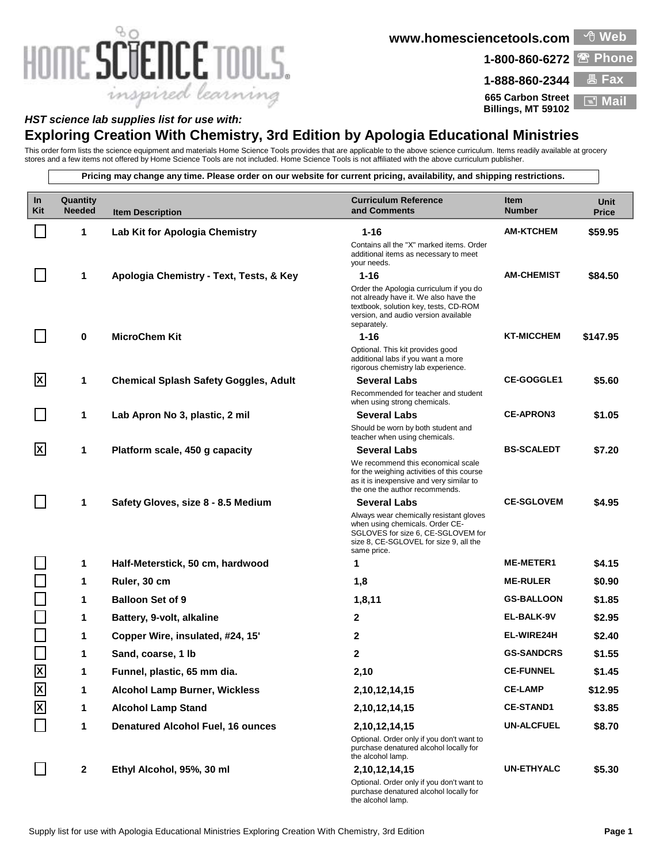## HOME SCIENCE TOOLS. inspired learning

**www.homesciencetools.com Web**

1-800-860-6272 <sup>**图 Phone**</sup>

**1-888-860-2344 Fax 665 Carbon Street Billings, MT 59102 Mail**

## *HST science lab supplies list for use with:*

## **Exploring Creation With Chemistry, 3rd Edition by Apologia Educational Ministries**

This order form lists the science equipment and materials Home Science Tools provides that are applicable to the above science curriculum. Items readily available at grocery stores and a few items not offered by Home Science Tools are not included. Home Science Tools is not affiliated with the above curriculum publisher.

**Pricing may change any time. Please order on our website for current pricing, availability, and shipping restrictions. Quantity Item Description In Kit Item Number Unit Price Curriculum Reference and Comments** 1 **Lab Kit for Apologia Chemistry 1-16 1-16 AM-KTCHEM \$59.95** Contains all the "X" marked items. Order additional items as necessary to meet your needs. **1 Apologia Chemistry - Text, Tests, & Key 1-16 AM-CHEMIST \$84.50** Order the Apologia curriculum if you do not already have it. We also have the textbook, solution key, tests, CD-ROM version, and audio version available separately. **0 MicroChem Kit 1-16 KT-MICCHEM \$147.95** Optional. This kit provides good additional labs if you want a more rigorous chemistry lab experience. **1 Chemical Splash Safety Goggles, Adult Several Labs CE-GOGGLE1 \$5.60** Recommended for teacher and student when using strong chemicals. **X 1 Lab Apron No 3, plastic, 2 mil Several Labs CE-APRON3 \$1.05** Should be worn by both student and teacher when using chemicals. 1 **Platform scale, 450 g capacity <b>Several Labs BS-SCALEDT \$7.20** We recommend this economical scale for the weighing activities of this course as it is inexpensive and very similar to the one the author recommends. **X** 1 **Safety Gloves, size 8 - 8.5 Medium Several Labs CE-SGLOVEM \$4.95** Always wear chemically resistant gloves when using chemicals. Order CE-SGLOVES for size 6, CE-SGLOVEM for size 8, CE-SGLOVEL for size 9, all the same price. **1 Half-Meterstick, 50 cm, hardwood 1 ME-METER1 \$4.15 1 Ruler, 30 cm 1,8 ME-RULER \$0.90 1 Balloon Set of 9 1,8,11 GS-BALLOON \$1.85 1 Battery, 9-volt, alkaline 2 EL-BALK-9V \$2.95 1 Copper Wire, insulated, #24, 15' 2 EL-WIRE24H \$2.40 1 Sand, coarse, 1 lb 2 GS-SANDCRS \$1.55 X 1 Funnel, plastic, 65 mm dia. 2,10 CE-FUNNEL \$1.45 X 1 Alcohol Lamp Burner, Wickless 2,10,12,14,15 CE-LAMP \$12.95 X 1 Alcohol Lamp Stand 2,10,12,14,15 CE-STAND1 \$3.85 1 Denatured Alcohol Fuel, 16 ounces 2,10,12,14,15 UN-ALCFUEL \$8.70** Optional. Order only if you don't want to purchase denatured alcohol locally for the alcohol lamp. **2 Ethyl Alcohol, 95%, 30 ml 2,10,12,14,15 UN-ETHYALC \$5.30** Optional. Order only if you don't want to purchase denatured alcohol locally for the alcohol lamp.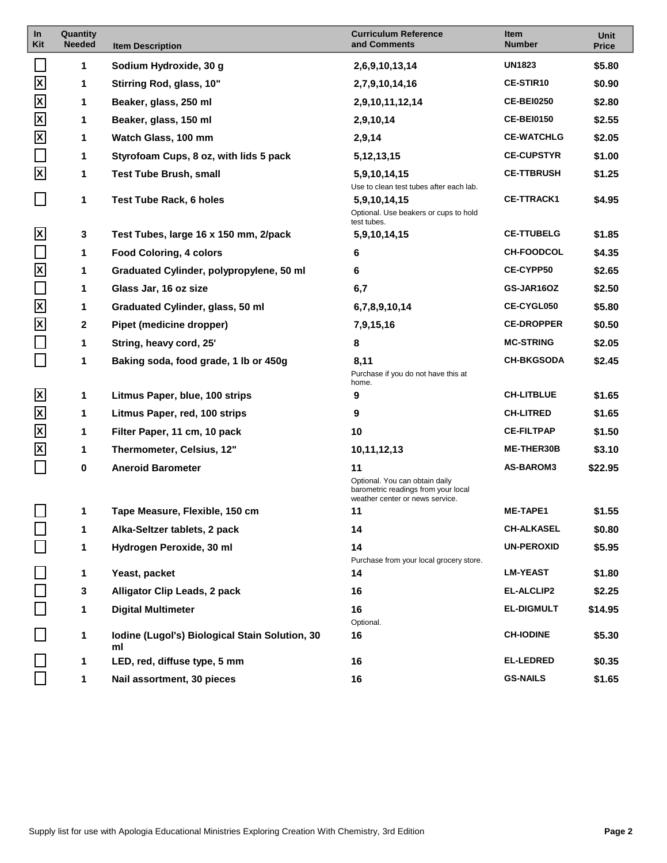| In<br>Kit                 | Quantity<br><b>Needed</b> | <b>Item Description</b>                              | <b>Curriculum Reference</b><br>and Comments                                                              | Item<br><b>Number</b> | Unit<br><b>Price</b> |
|---------------------------|---------------------------|------------------------------------------------------|----------------------------------------------------------------------------------------------------------|-----------------------|----------------------|
|                           | 1                         | Sodium Hydroxide, 30 g                               | 2,6,9,10,13,14                                                                                           | <b>UN1823</b>         | \$5.80               |
| $\boldsymbol{\mathsf{X}}$ | 1                         | Stirring Rod, glass, 10"                             | 2,7,9,10,14,16                                                                                           | <b>CE-STIR10</b>      | \$0.90               |
| $\overline{\mathsf{x}}$   | 1                         | Beaker, glass, 250 ml                                | 2,9,10,11,12,14                                                                                          | <b>CE-BEI0250</b>     | \$2.80               |
| $\boldsymbol{\mathsf{X}}$ | 1                         | Beaker, glass, 150 ml                                | 2,9,10,14                                                                                                | <b>CE-BEI0150</b>     | \$2.55               |
| $\boldsymbol{\mathsf{X}}$ | 1                         | Watch Glass, 100 mm                                  | 2,9,14                                                                                                   | <b>CE-WATCHLG</b>     | \$2.05               |
| $\Box$                    | 1                         | Styrofoam Cups, 8 oz, with lids 5 pack               | 5, 12, 13, 15                                                                                            | <b>CE-CUPSTYR</b>     | \$1.00               |
| $\overline{\mathbf{x}}$   | 1                         | <b>Test Tube Brush, small</b>                        | 5,9,10,14,15<br>Use to clean test tubes after each lab.                                                  | <b>CE-TTBRUSH</b>     | \$1.25               |
| $\Box$                    | 1                         | Test Tube Rack, 6 holes                              | 5,9,10,14,15<br>Optional. Use beakers or cups to hold<br>test tubes.                                     | <b>CE-TTRACK1</b>     | \$4.95               |
| $\overline{\mathsf{X}}$   | 3                         | Test Tubes, large 16 x 150 mm, 2/pack                | 5,9,10,14,15                                                                                             | <b>CE-TTUBELG</b>     | \$1.85               |
|                           | 1                         | <b>Food Coloring, 4 colors</b>                       | 6                                                                                                        | <b>CH-FOODCOL</b>     | \$4.35               |
| $\boldsymbol{\mathsf{X}}$ | 1                         | Graduated Cylinder, polypropylene, 50 ml             | 6                                                                                                        | <b>CE-CYPP50</b>      | \$2.65               |
| $\Box$                    | 1                         | Glass Jar, 16 oz size                                | 6,7                                                                                                      | GS-JAR16OZ            | \$2.50               |
| $\boldsymbol{\mathsf{X}}$ | 1                         | Graduated Cylinder, glass, 50 ml                     | 6,7,8,9,10,14                                                                                            | <b>CE-CYGL050</b>     | \$5.80               |
| $\boldsymbol{\mathsf{X}}$ | $\mathbf{2}$              | Pipet (medicine dropper)                             | 7,9,15,16                                                                                                | <b>CE-DROPPER</b>     | \$0.50               |
| $\Box$                    | 1                         | String, heavy cord, 25'                              | 8                                                                                                        | <b>MC-STRING</b>      | \$2.05               |
| $\Box$                    | 1                         | Baking soda, food grade, 1 lb or 450g                | 8,11<br>Purchase if you do not have this at<br>home.                                                     | <b>CH-BKGSODA</b>     | \$2.45               |
| $\overline{\mathsf{x}}$   | 1                         | Litmus Paper, blue, 100 strips                       | 9                                                                                                        | <b>CH-LITBLUE</b>     | \$1.65               |
| $\boldsymbol{\mathsf{X}}$ | 1                         | Litmus Paper, red, 100 strips                        | 9                                                                                                        | <b>CH-LITRED</b>      | \$1.65               |
| $\mathsf{X}$              | 1                         | Filter Paper, 11 cm, 10 pack                         | 10                                                                                                       | <b>CE-FILTPAP</b>     | \$1.50               |
| $\mathsf{X}$              | 1                         | Thermometer, Celsius, 12"                            | 10,11,12,13                                                                                              | <b>ME-THER30B</b>     | \$3.10               |
|                           | 0                         | <b>Aneroid Barometer</b>                             | 11                                                                                                       | <b>AS-BAROM3</b>      | \$22.95              |
|                           |                           |                                                      | Optional. You can obtain daily<br>barometric readings from your local<br>weather center or news service. |                       |                      |
|                           | 1                         | Tape Measure, Flexible, 150 cm                       | 11                                                                                                       | <b>ME-TAPE1</b>       | \$1.55               |
|                           | 1                         | Alka-Seltzer tablets, 2 pack                         | 14                                                                                                       | <b>CH-ALKASEL</b>     | \$0.80               |
|                           | 1                         | Hydrogen Peroxide, 30 ml                             | 14<br>Purchase from your local grocery store.                                                            | <b>UN-PEROXID</b>     | \$5.95               |
|                           | 1                         | Yeast, packet                                        | 14                                                                                                       | <b>LM-YEAST</b>       | \$1.80               |
|                           | 3                         | Alligator Clip Leads, 2 pack                         | 16                                                                                                       | <b>EL-ALCLIP2</b>     | \$2.25               |
|                           | 1                         | <b>Digital Multimeter</b>                            | 16                                                                                                       | <b>EL-DIGMULT</b>     | \$14.95              |
|                           | 1                         | Iodine (Lugol's) Biological Stain Solution, 30<br>ml | Optional.<br>16                                                                                          | <b>CH-IODINE</b>      | \$5.30               |
|                           | 1                         | LED, red, diffuse type, 5 mm                         | 16                                                                                                       | <b>EL-LEDRED</b>      | \$0.35               |
|                           | 1                         | Nail assortment, 30 pieces                           | 16                                                                                                       | <b>GS-NAILS</b>       | \$1.65               |